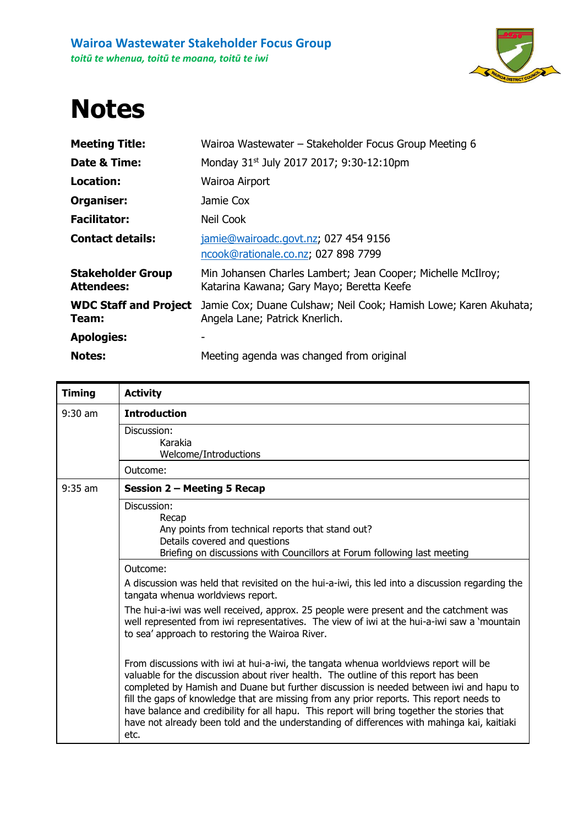

## **Notes**

| <b>Meeting Title:</b>                         | Wairoa Wastewater – Stakeholder Focus Group Meeting 6                                                     |
|-----------------------------------------------|-----------------------------------------------------------------------------------------------------------|
| Date & Time:                                  | Monday 31 <sup>st</sup> July 2017 2017; 9:30-12:10pm                                                      |
| Location:                                     | Wairoa Airport                                                                                            |
| Organiser:                                    | Jamie Cox                                                                                                 |
| <b>Facilitator:</b>                           | Neil Cook                                                                                                 |
| <b>Contact details:</b>                       | jamie@wairoadc.govt.nz; 027 454 9156<br>ncook@rationale.co.nz; 027 898 7799                               |
| <b>Stakeholder Group</b><br><b>Attendees:</b> | Min Johansen Charles Lambert; Jean Cooper; Michelle McIlroy;<br>Katarina Kawana; Gary Mayo; Beretta Keefe |
| <b>WDC Staff and Project</b><br>Team:         | Jamie Cox; Duane Culshaw; Neil Cook; Hamish Lowe; Karen Akuhata;<br>Angela Lane; Patrick Knerlich.        |
| <b>Apologies:</b>                             |                                                                                                           |
| <b>Notes:</b>                                 | Meeting agenda was changed from original                                                                  |

| <b>Timing</b> | <b>Activity</b>                                                                                                                                                                                                                                                                                                                                                                                                                                                                                                                                                        |
|---------------|------------------------------------------------------------------------------------------------------------------------------------------------------------------------------------------------------------------------------------------------------------------------------------------------------------------------------------------------------------------------------------------------------------------------------------------------------------------------------------------------------------------------------------------------------------------------|
| $9:30$ am     | <b>Introduction</b>                                                                                                                                                                                                                                                                                                                                                                                                                                                                                                                                                    |
|               | Discussion:<br>Karakia<br>Welcome/Introductions                                                                                                                                                                                                                                                                                                                                                                                                                                                                                                                        |
|               | Outcome:                                                                                                                                                                                                                                                                                                                                                                                                                                                                                                                                                               |
| $9:35$ am     | Session 2 – Meeting 5 Recap                                                                                                                                                                                                                                                                                                                                                                                                                                                                                                                                            |
|               | Discussion:<br>Recap<br>Any points from technical reports that stand out?<br>Details covered and questions<br>Briefing on discussions with Councillors at Forum following last meeting                                                                                                                                                                                                                                                                                                                                                                                 |
|               | Outcome:                                                                                                                                                                                                                                                                                                                                                                                                                                                                                                                                                               |
|               | A discussion was held that revisited on the hui-a-iwi, this led into a discussion regarding the<br>tangata whenua worldviews report.                                                                                                                                                                                                                                                                                                                                                                                                                                   |
|               | The hui-a-iwi was well received, approx. 25 people were present and the catchment was<br>well represented from iwi representatives. The view of iwi at the hui-a-iwi saw a 'mountain<br>to sea' approach to restoring the Wairoa River.                                                                                                                                                                                                                                                                                                                                |
|               | From discussions with iwi at hui-a-iwi, the tangata whenua worldviews report will be<br>valuable for the discussion about river health. The outline of this report has been<br>completed by Hamish and Duane but further discussion is needed between iwi and hapu to<br>fill the gaps of knowledge that are missing from any prior reports. This report needs to<br>have balance and credibility for all hapu. This report will bring together the stories that<br>have not already been told and the understanding of differences with mahinga kai, kaitiaki<br>etc. |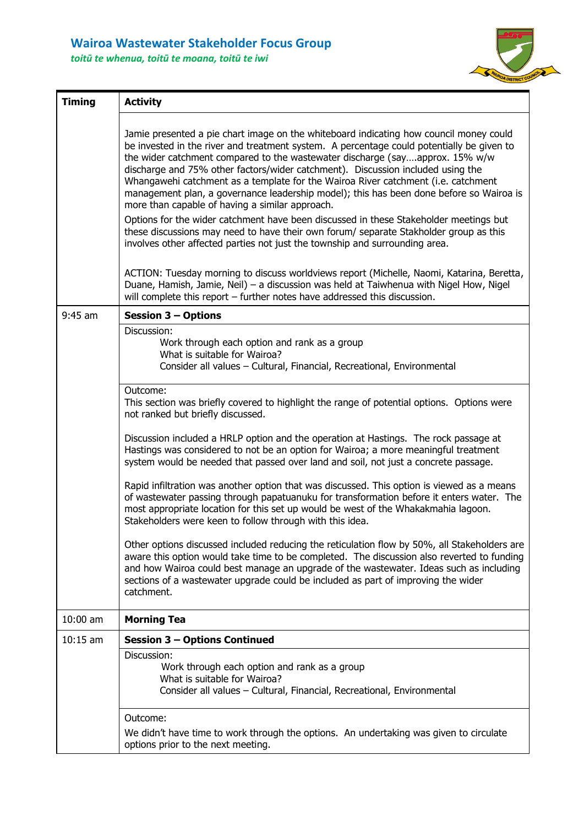## **Wairoa Wastewater Stakeholder Focus Group**

*toitū te whenua, toitū te moana, toitū te iwi*



| <b>Timing</b> | <b>Activity</b>                                                                                                                                                                                                                                                                                                                                                                                                                                                                                                                                                                                                                                                                                                                                                                                                                                                                                                                                                                                                                                                                                                                                                                                                                                                                                                                   |
|---------------|-----------------------------------------------------------------------------------------------------------------------------------------------------------------------------------------------------------------------------------------------------------------------------------------------------------------------------------------------------------------------------------------------------------------------------------------------------------------------------------------------------------------------------------------------------------------------------------------------------------------------------------------------------------------------------------------------------------------------------------------------------------------------------------------------------------------------------------------------------------------------------------------------------------------------------------------------------------------------------------------------------------------------------------------------------------------------------------------------------------------------------------------------------------------------------------------------------------------------------------------------------------------------------------------------------------------------------------|
|               | Jamie presented a pie chart image on the whiteboard indicating how council money could<br>be invested in the river and treatment system. A percentage could potentially be given to<br>the wider catchment compared to the wastewater discharge (sayapprox. 15% w/w<br>discharge and 75% other factors/wider catchment). Discussion included using the<br>Whangawehi catchment as a template for the Wairoa River catchment (i.e. catchment<br>management plan, a governance leadership model); this has been done before so Wairoa is<br>more than capable of having a similar approach.<br>Options for the wider catchment have been discussed in these Stakeholder meetings but<br>these discussions may need to have their own forum/ separate Stakholder group as this<br>involves other affected parties not just the township and surrounding area.<br>ACTION: Tuesday morning to discuss worldviews report (Michelle, Naomi, Katarina, Beretta,<br>Duane, Hamish, Jamie, Neil) - a discussion was held at Taiwhenua with Nigel How, Nigel<br>will complete this report - further notes have addressed this discussion.                                                                                                                                                                                                    |
| $9:45$ am     | <b>Session 3 - Options</b>                                                                                                                                                                                                                                                                                                                                                                                                                                                                                                                                                                                                                                                                                                                                                                                                                                                                                                                                                                                                                                                                                                                                                                                                                                                                                                        |
|               | Discussion:<br>Work through each option and rank as a group<br>What is suitable for Wairoa?<br>Consider all values - Cultural, Financial, Recreational, Environmental<br>Outcome:<br>This section was briefly covered to highlight the range of potential options. Options were<br>not ranked but briefly discussed.<br>Discussion included a HRLP option and the operation at Hastings. The rock passage at<br>Hastings was considered to not be an option for Wairoa; a more meaningful treatment<br>system would be needed that passed over land and soil, not just a concrete passage.<br>Rapid infiltration was another option that was discussed. This option is viewed as a means<br>of wastewater passing through papatuanuku for transformation before it enters water. The<br>most appropriate location for this set up would be west of the Whakakmahia lagoon.<br>Stakeholders were keen to follow through with this idea.<br>Other options discussed included reducing the reticulation flow by 50%, all Stakeholders are<br>aware this option would take time to be completed. The discussion also reverted to funding<br>and how Wairoa could best manage an upgrade of the wastewater. Ideas such as including<br>sections of a wastewater upgrade could be included as part of improving the wider<br>catchment. |
| 10:00 am      | <b>Morning Tea</b>                                                                                                                                                                                                                                                                                                                                                                                                                                                                                                                                                                                                                                                                                                                                                                                                                                                                                                                                                                                                                                                                                                                                                                                                                                                                                                                |
| $10:15$ am    | <b>Session 3 - Options Continued</b>                                                                                                                                                                                                                                                                                                                                                                                                                                                                                                                                                                                                                                                                                                                                                                                                                                                                                                                                                                                                                                                                                                                                                                                                                                                                                              |
|               | Discussion:<br>Work through each option and rank as a group<br>What is suitable for Wairoa?<br>Consider all values - Cultural, Financial, Recreational, Environmental                                                                                                                                                                                                                                                                                                                                                                                                                                                                                                                                                                                                                                                                                                                                                                                                                                                                                                                                                                                                                                                                                                                                                             |
|               | Outcome:<br>We didn't have time to work through the options. An undertaking was given to circulate<br>options prior to the next meeting.                                                                                                                                                                                                                                                                                                                                                                                                                                                                                                                                                                                                                                                                                                                                                                                                                                                                                                                                                                                                                                                                                                                                                                                          |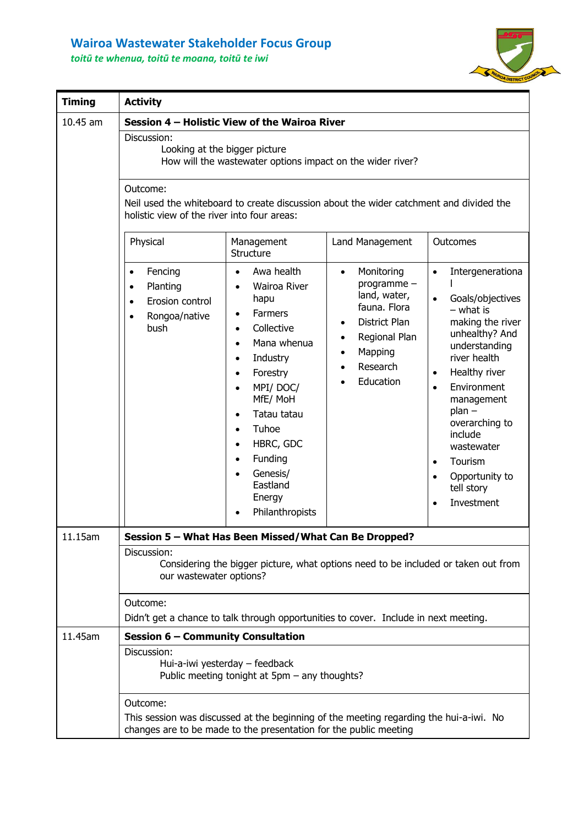## **Wairoa Wastewater Stakeholder Focus Group** *toitū te whenua, toitū te moana, toitū te iwi*



| <b>Timing</b> | <b>Activity</b>                                                                                                                                                                                                                                                                                                                                                                                                                                                                                                                                                                                                                                                                                                                                                                                                                                                                                                                                                                                                                |  |  |  |
|---------------|--------------------------------------------------------------------------------------------------------------------------------------------------------------------------------------------------------------------------------------------------------------------------------------------------------------------------------------------------------------------------------------------------------------------------------------------------------------------------------------------------------------------------------------------------------------------------------------------------------------------------------------------------------------------------------------------------------------------------------------------------------------------------------------------------------------------------------------------------------------------------------------------------------------------------------------------------------------------------------------------------------------------------------|--|--|--|
| $10.45$ am    | Session 4 - Holistic View of the Wairoa River<br>Discussion:<br>Looking at the bigger picture<br>How will the wastewater options impact on the wider river?<br>Outcome:<br>Neil used the whiteboard to create discussion about the wider catchment and divided the<br>holistic view of the river into four areas:                                                                                                                                                                                                                                                                                                                                                                                                                                                                                                                                                                                                                                                                                                              |  |  |  |
|               | Physical<br>Management<br>Land Management<br>Outcomes<br>Structure                                                                                                                                                                                                                                                                                                                                                                                                                                                                                                                                                                                                                                                                                                                                                                                                                                                                                                                                                             |  |  |  |
|               | Awa health<br>Fencing<br>Monitoring<br>Intergenerationa<br>$\bullet$<br>$\bullet$<br>$\bullet$<br>$\bullet$<br>programme -<br>Planting<br>Wairoa River<br>$\bullet$<br>land, water,<br>Goals/objectives<br>hapu<br>Erosion control<br>$\bullet$<br>fauna. Flora<br>$-$ what is<br><b>Farmers</b><br>$\bullet$<br>Rongoa/native<br>$\bullet$<br>making the river<br>District Plan<br>Collective<br>bush<br>$\bullet$<br>unhealthy? And<br>Regional Plan<br>٠<br>Mana whenua<br>$\bullet$<br>understanding<br>Mapping<br>$\bullet$<br>river health<br>Industry<br>$\bullet$<br>Research<br>Healthy river<br>Forestry<br>$\bullet$<br>$\bullet$<br>Education<br>MPI/DOC/<br>Environment<br>$\bullet$<br>$\bullet$<br>MfE/ MoH<br>management<br>$plan -$<br>Tatau tatau<br>$\bullet$<br>overarching to<br>Tuhoe<br>include<br>HBRC, GDC<br>$\bullet$<br>wastewater<br>Funding<br>$\bullet$<br>Tourism<br>$\bullet$<br>Genesis/<br>Opportunity to<br>$\bullet$<br>Eastland<br>tell story<br>Energy<br>Investment<br>Philanthropists |  |  |  |
| 11.15am       | Session 5 - What Has Been Missed/What Can Be Dropped?                                                                                                                                                                                                                                                                                                                                                                                                                                                                                                                                                                                                                                                                                                                                                                                                                                                                                                                                                                          |  |  |  |
|               | Discussion:<br>Considering the bigger picture, what options need to be included or taken out from<br>our wastewater options?                                                                                                                                                                                                                                                                                                                                                                                                                                                                                                                                                                                                                                                                                                                                                                                                                                                                                                   |  |  |  |
|               | Outcome:<br>Didn't get a chance to talk through opportunities to cover. Include in next meeting.                                                                                                                                                                                                                                                                                                                                                                                                                                                                                                                                                                                                                                                                                                                                                                                                                                                                                                                               |  |  |  |
| 11.45am       | Session 6 - Community Consultation                                                                                                                                                                                                                                                                                                                                                                                                                                                                                                                                                                                                                                                                                                                                                                                                                                                                                                                                                                                             |  |  |  |
|               | Discussion:<br>Hui-a-iwi yesterday - feedback<br>Public meeting tonight at 5pm – any thoughts?                                                                                                                                                                                                                                                                                                                                                                                                                                                                                                                                                                                                                                                                                                                                                                                                                                                                                                                                 |  |  |  |
|               | Outcome:<br>This session was discussed at the beginning of the meeting regarding the hui-a-iwi. No<br>changes are to be made to the presentation for the public meeting                                                                                                                                                                                                                                                                                                                                                                                                                                                                                                                                                                                                                                                                                                                                                                                                                                                        |  |  |  |